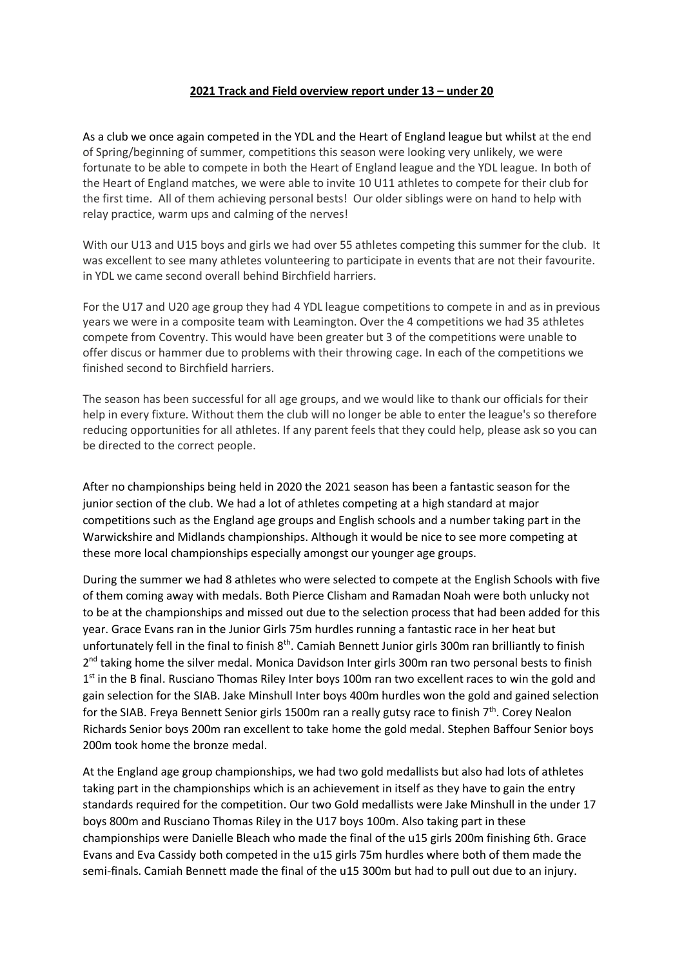## **2021 Track and Field overview report under 13 – under 20**

As a club we once again competed in the YDL and the Heart of England league but whilst at the end of Spring/beginning of summer, competitions this season were looking very unlikely, we were fortunate to be able to compete in both the Heart of England league and the YDL league. In both of the Heart of England matches, we were able to invite 10 U11 athletes to compete for their club for the first time. All of them achieving personal bests! Our older siblings were on hand to help with relay practice, warm ups and calming of the nerves!

With our U13 and U15 boys and girls we had over 55 athletes competing this summer for the club. It was excellent to see many athletes volunteering to participate in events that are not their favourite. in YDL we came second overall behind Birchfield harriers.

For the U17 and U20 age group they had 4 YDL league competitions to compete in and as in previous years we were in a composite team with Leamington. Over the 4 competitions we had 35 athletes compete from Coventry. This would have been greater but 3 of the competitions were unable to offer discus or hammer due to problems with their throwing cage. In each of the competitions we finished second to Birchfield harriers.

The season has been successful for all age groups, and we would like to thank our officials for their help in every fixture. Without them the club will no longer be able to enter the league's so therefore reducing opportunities for all athletes. If any parent feels that they could help, please ask so you can be directed to the correct people.

After no championships being held in 2020 the 2021 season has been a fantastic season for the junior section of the club. We had a lot of athletes competing at a high standard at major competitions such as the England age groups and English schools and a number taking part in the Warwickshire and Midlands championships. Although it would be nice to see more competing at these more local championships especially amongst our younger age groups.

During the summer we had 8 athletes who were selected to compete at the English Schools with five of them coming away with medals. Both Pierce Clisham and Ramadan Noah were both unlucky not to be at the championships and missed out due to the selection process that had been added for this year. Grace Evans ran in the Junior Girls 75m hurdles running a fantastic race in her heat but unfortunately fell in the final to finish 8<sup>th</sup>. Camiah Bennett Junior girls 300m ran brilliantly to finish 2<sup>nd</sup> taking home the silver medal. Monica Davidson Inter girls 300m ran two personal bests to finish 1<sup>st</sup> in the B final. Rusciano Thomas Riley Inter boys 100m ran two excellent races to win the gold and gain selection for the SIAB. Jake Minshull Inter boys 400m hurdles won the gold and gained selection for the SIAB. Freya Bennett Senior girls 1500m ran a really gutsy race to finish 7<sup>th</sup>. Corey Nealon Richards Senior boys 200m ran excellent to take home the gold medal. Stephen Baffour Senior boys 200m took home the bronze medal.

At the England age group championships, we had two gold medallists but also had lots of athletes taking part in the championships which is an achievement in itself as they have to gain the entry standards required for the competition. Our two Gold medallists were Jake Minshull in the under 17 boys 800m and Rusciano Thomas Riley in the U17 boys 100m. Also taking part in these championships were Danielle Bleach who made the final of the u15 girls 200m finishing 6th. Grace Evans and Eva Cassidy both competed in the u15 girls 75m hurdles where both of them made the semi-finals. Camiah Bennett made the final of the u15 300m but had to pull out due to an injury.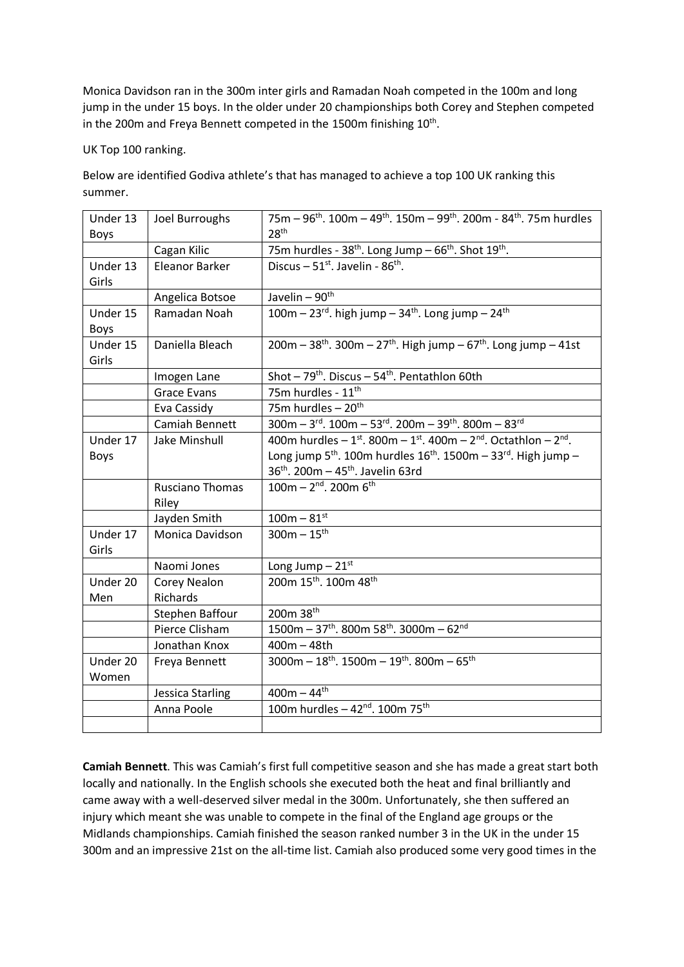Monica Davidson ran in the 300m inter girls and Ramadan Noah competed in the 100m and long jump in the under 15 boys. In the older under 20 championships both Corey and Stephen competed in the 200m and Freya Bennett competed in the 1500m finishing  $10^{\text{th}}$ .

UK Top 100 ranking.

Below are identified Godiva athlete's that has managed to achieve a top 100 UK ranking this summer.

| Under 13    | Joel Burroughs        | 75m – 96 <sup>th</sup> . 100m – 49 <sup>th</sup> . 150m – 99 <sup>th</sup> . 200m - 84 <sup>th</sup> . 75m hurdles |
|-------------|-----------------------|--------------------------------------------------------------------------------------------------------------------|
| Boys        |                       | 28 <sup>th</sup>                                                                                                   |
|             | Cagan Kilic           | 75m hurdles - 38 <sup>th</sup> . Long Jump - 66 <sup>th</sup> . Shot 19 <sup>th</sup> .                            |
| Under 13    | <b>Eleanor Barker</b> | Discus $-51^{st}$ . Javelin - 86 <sup>th</sup> .                                                                   |
| Girls       |                       |                                                                                                                    |
|             | Angelica Botsoe       | Javelin - 90 <sup>th</sup>                                                                                         |
| Under 15    | Ramadan Noah          | 100m - 23rd. high jump - 34 <sup>th</sup> . Long jump $\overline{-24}$ <sup>th</sup>                               |
| Boys        |                       |                                                                                                                    |
| Under 15    | Daniella Bleach       | $200m - 38$ <sup>th</sup> . 300m - 27 <sup>th</sup> . High jump - 67 <sup>th</sup> . Long jump - 41st              |
| Girls       |                       |                                                                                                                    |
|             | Imogen Lane           | Shot - $79^{th}$ . Discus - $54^{th}$ . Pentathlon 60th                                                            |
|             | <b>Grace Evans</b>    | 75m hurdles - 11 <sup>th</sup>                                                                                     |
|             | Eva Cassidy           | 75m hurdles - 20 <sup>th</sup>                                                                                     |
|             | Camiah Bennett        | $300m - 3rd$ . 100m - 53 <sup>rd</sup> . 200m - 39 <sup>th</sup> . 800m - 83 <sup>rd</sup>                         |
| Under 17    | Jake Minshull         | 400m hurdles - $1^{st}$ . 800m - $1^{st}$ . 400m - $2^{nd}$ . Octathlon - $2^{nd}$ .                               |
| <b>Boys</b> |                       | Long jump $5^{th}$ . 100m hurdles $16^{th}$ . 1500m - 33 <sup>rd</sup> . High jump -                               |
|             |                       | 36 <sup>th</sup> . 200m - 45 <sup>th</sup> . Javelin 63rd                                                          |
|             | Rusciano Thomas       | $100m - 2nd$ . 200m 6 <sup>th</sup>                                                                                |
|             | Riley                 |                                                                                                                    |
|             | Jayden Smith          | $100m - 81^{st}$                                                                                                   |
| Under 17    | Monica Davidson       | $300m - 15^{th}$                                                                                                   |
| Girls       |                       |                                                                                                                    |
|             | Naomi Jones           | Long Jump $-21st$                                                                                                  |
| Under 20    | Corey Nealon          | 200m 15th. 100m 48th                                                                                               |
| Men         | Richards              |                                                                                                                    |
|             | Stephen Baffour       | 200m 38th                                                                                                          |
|             | Pierce Clisham        | $1500m - 37th$ . 800m 58 <sup>th</sup> . 3000m - 62 <sup>nd</sup>                                                  |
|             | Jonathan Knox         | $400m - 48th$                                                                                                      |
| Under 20    | Freya Bennett         | $3000m - 18$ <sup>th</sup> . 1500m - 19 <sup>th</sup> . 800m - 65 <sup>th</sup>                                    |
| Women       |                       |                                                                                                                    |
|             | Jessica Starling      | $400m - 44^{th}$                                                                                                   |
|             | Anna Poole            | 100m hurdles - $42^{nd}$ . 100m 75 <sup>th</sup>                                                                   |
|             |                       |                                                                                                                    |

**Camiah Bennett**. This was Camiah's first full competitive season and she has made a great start both locally and nationally. In the English schools she executed both the heat and final brilliantly and came away with a well-deserved silver medal in the 300m. Unfortunately, she then suffered an injury which meant she was unable to compete in the final of the England age groups or the Midlands championships. Camiah finished the season ranked number 3 in the UK in the under 15 300m and an impressive 21st on the all-time list. Camiah also produced some very good times in the